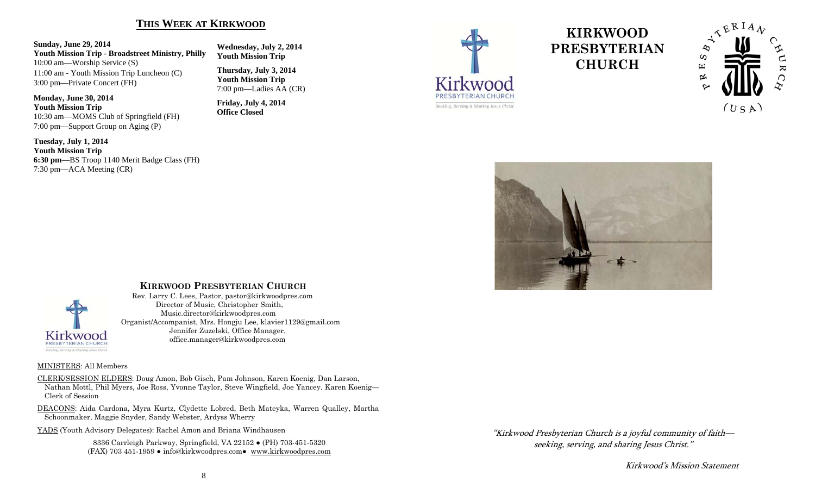#### **THIS WEEK AT KIRKWOOD**

#### **Sunday, June 29, 2014**

**Youth Mission Trip - Broadstreet Ministry, Philly**  10:00 am—Worship Service (S) 11:00 am - Youth Mission Trip Luncheon (C) 3:00 pm—Private Concert (FH)

#### **Monday, June 30, 2014 Youth Mission Trip**

10:30 am—MOMS Club of Springfield (FH) 7:00 pm—Support Group on Aging (P)

**Tuesday, July 1, 2014 Youth Mission Trip 6:30 pm**—BS Troop 1140 Merit Badge Class (FH) 7:30 pm—ACA Meeting (CR)

**Wednesday, July 2, 2014 Youth Mission Trip** 

**Thursday, July 3, 2014 Youth Mission Trip**  7:00 pm—Ladies AA (CR)

**Friday, July 4, 2014 Office Closed** 



# **KIRKWOOD PRESBYTERIAN CHURCH**







#### **KIRKWOOD PRESBYTERIAN CHURCH**

 Rev. Larry C. Lees, Pastor, pastor@kirkwoodpres.com Director of Music, Christopher Smith, Music.director@kirkwoodpres.com Organist/Accompanist, Mrs. Hongju Lee, klavier1129@gmail.com Jennifer Zuzelski, Office Manager, office.manager@kirkwoodpres.com

#### MINISTERS: All Members

CLERK/SESSION ELDERS: Doug Amon, Bob Gisch, Pam Johnson, Karen Koenig, Dan Larson, Nathan Mottl, Phil Myers, Joe Ross, Yvonne Taylor, Steve Wingfield, Joe Yancey. Karen Koenig— Clerk of Session

DEACONS: Aida Cardona, Myra Kurtz, Clydette Lobred, Beth Mateyka, Warren Qualley, Martha Schoonmaker, Maggie Snyder, Sandy Webster, Ardyss Wherry

YADS (Youth Advisory Delegates): Rachel Amon and Briana Windhausen

8336 Carrleigh Parkway, Springfield, VA 22152 ● (PH) 703-451-5320 (FAX) 703 451-1959 ● info@kirkwoodpres.com● www.kirkwoodpres.com "Kirkwood Presbyterian Church is a joyful community of faith seeking, serving, and sharing Jesus Christ."

Kirkwood's Mission Statement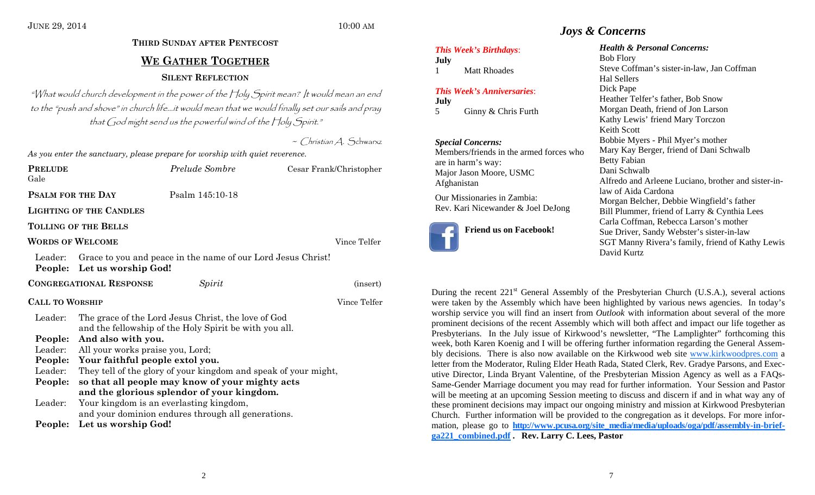# **THIRD SUNDAY AFTER PENTECOST WE GATHER TOGETHERSILENT REFLECTION**

"What would church development in the power of the Holy Spirit mean? It would mean an end to the "push and shove" in church life…it would mean that we would finally set our sails and pray that God might send us the powerful wind of the Holy Spirit."

 $\sim$  Christian A. Schwarxz

*Prelude Sombre* **Cesar Frank/Christopher** 

*As you enter the sanctuary, please prepare for worship with quiet reverence.* 

| PRELUDE |                          |
|---------|--------------------------|
| Gale    |                          |
|         | <b>PSALM FOR THE DAY</b> |

**PREFECT** 

**Psalm 145:10-18** 

**LIGHTING OF THE CANDLES**

#### **TOLLING OF THE BELLS**

#### **WORDS OF WELCOME**

Vince Telfer

Leader: Grace to you and peace in the name of our Lord Jesus Christ! **People: Let us worship God!** 

**CONGREGATIONAL RESPONSE** *Spirit* (insert) **CALL TO**Vince Telfer Leader: The grace of the Lord Jesus Christ, the love of God and the fellowship of the Holy Spirit be with you all. **People: And also with you.** 

# Leader: All your works praise you, Lord;

- **People: Your faithful people extol you.**
- Leader: They tell of the glory of your kingdom and speak of your might,
- **People: so that all people may know of your mighty acts and the glorious splendor of your kingdom.**  Leader: Your kingdom is an everlasting kingdom,
	- and your dominion endures through all generations.
- **People: Let us worship God!**

# *Joys & Concerns*

#### *This Week's Birthdays*:

**July**  1 Matt Rhoades

#### *This Week's Anniversaries*:

**July**  5 Ginny & Chris Furth

#### *Special Concerns:*

Members/friends in the armed forces who are in harm's way: Major Jason Moore, USMC Afghanistan

Our Missionaries in Zambia: Rev. Kari Nicewander & Joel DeJong



# **Friend us on Facebook!**

#### *Health & Personal Concerns:*

Bob Flory Steve Coffman's sister-in-law, Jan Coffman Hal Sellers Dick Pape Heather Telfer's father, Bob Snow Morgan Death, friend of Jon Larson Kathy Lewis' friend Mary Torczon Keith Scott Bobbie Myers - Phil Myer's mother Mary Kay Berger, friend of Dani Schwalb Betty Fabian Dani Schwalb Alfredo and Arleene Luciano, brother and sister-inlaw of Aida Cardona Morgan Belcher, Debbie Wingfield's father Bill Plummer, friend of Larry & Cynthia Lees Carla Coffman, Rebecca Larson's mother Sue Driver, Sandy Webster's sister-in-law SGT Manny Rivera's family, friend of Kathy Lewis David Kurtz

During the recent  $221<sup>st</sup>$  General Assembly of the Presbyterian Church (U.S.A.), several actions were taken by the Assembly which have been highlighted by various news agencies. In today's worship service you will find an insert from *Outlook* with information about several of the more prominent decisions of the recent Assembly which will both affect and impact our life together as Presbyterians. In the July issue of Kirkwood's newsletter, "The Lamplighter" forthcoming this week, both Karen Koenig and I will be offering further information regarding the General Assembly decisions. There is also now available on the Kirkwood web site www.kirkwoodpres.com a letter from the Moderator, Ruling Elder Heath Rada, Stated Clerk, Rev. Gradye Parsons, and Executive Director, Linda Bryant Valentine, of the Presbyterian Mission Agency as well as a FAQs-Same-Gender Marriage document you may read for further information. Your Session and Pastor will be meeting at an upcoming Session meeting to discuss and discern if and in what way any of these prominent decisions may impact our ongoing ministry and mission at Kirkwood Presbyterian Church. Further information will be provided to the congregation as it develops. For more information, please go to http://www.pcusa.org/site\_media/media/uploads/oga/pdf/assembly-in-brief**ga221\_combined.pdf . Rev. Larry C. Lees, Pastor**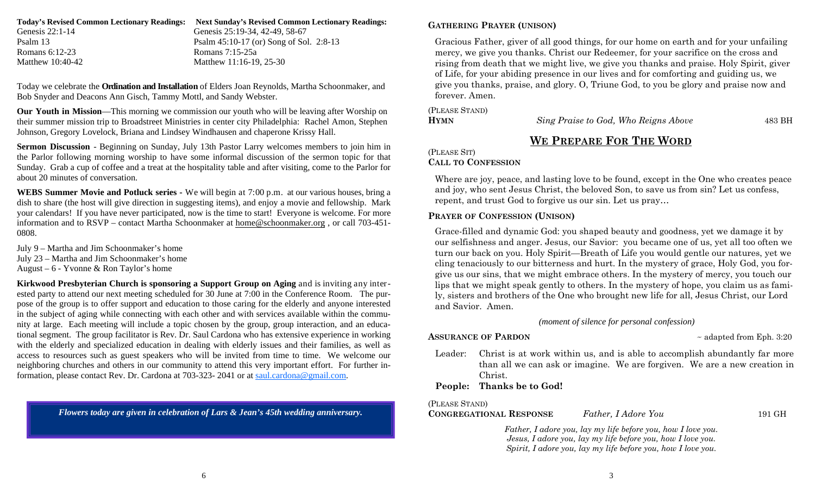| <b>Next Sunday's Revised Common Lectionary Readings:</b> |
|----------------------------------------------------------|
| Genesis 25:19-34, 42-49, 58-67                           |
| Psalm $45:10-17$ (or) Song of Sol. 2:8-13                |
| Romans 7:15-25a                                          |
| Matthew 11:16-19, 25-30                                  |
|                                                          |

Today we celebrate the **Ordination and Installation** of Elders Joan Reynolds, Martha Schoonmaker, and Bob Snyder and Deacons Ann Gisch, Tammy Mottl, and Sandy Webster.

**Our Youth in Mission**—This morning we commission our youth who will be leaving after Worship on their summer mission trip to Broadstreet Ministries in center city Philadelphia: Rachel Amon, Stephen Johnson, Gregory Lovelock, Briana and Lindsey Windhausen and chaperone Krissy Hall.

**Sermon Discussion** - Beginning on Sunday, July 13th Pastor Larry welcomes members to join him in the Parlor following morning worship to have some informal discussion of the sermon topic for that Sunday. Grab a cup of coffee and a treat at the hospitality table and after visiting, come to the Parlor for about 20 minutes of conversation.

**WEBS Summer Movie and Potluck series -** We will begin at 7:00 p.m. at our various houses, bring a dish to share (the host will give direction in suggesting items), and enjoy a movie and fellowship. Mark your calendars! If you have never participated, now is the time to start! Everyone is welcome. For more information and to RSVP – contact Martha Schoonmaker at home@schoonmaker.org , or call 703-451- 0808.

July 9 – Martha and Jim Schoonmaker's home July 23 – Martha and Jim Schoonmaker's home August – 6 - Yvonne & Ron Taylor's home

**Kirkwood Presbyterian Church is sponsoring a Support Group on Aging** and is inviting any interested party to attend our next meeting scheduled for 30 June at 7:00 in the Conference Room. The purpose of the group is to offer support and education to those caring for the elderly and anyone interested in the subject of aging while connecting with each other and with services available within the community at large. Each meeting will include a topic chosen by the group, group interaction, and an educational segment. The group facilitator is Rev. Dr. Saul Cardona who has extensive experience in working with the elderly and specialized education in dealing with elderly issues and their families, as well as access to resources such as guest speakers who will be invited from time to time. We welcome our neighboring churches and others in our community to attend this very important effort. For further information, please contact Rev. Dr. Cardona at 703-323- 2041 or at saul.cardona@gmail.com.

*Flowers today are given in celebration of Lars & Jean's 45th wedding anniversary.* 

#### **GATHERING PRAYER (UNISON)**

Gracious Father, giver of all good things, for our home on earth and for your unfailing mercy, we give you thanks. Christ our Redeemer, for your sacrifice on the cross and rising from death that we might live, we give you thanks and praise. Holy Spirit, giver of Life, for your abiding presence in our lives and for comforting and guiding us, we give you thanks, praise, and glory. O, Triune God, to you be glory and praise now and forever. Amen.

(PLEASE STAND) **HYMN**

*Sing Praise to God, Who Reigns Above* 483 BH

# **WE PREPARE FOR THE WORD**

(PLEASE SIT)

#### **CALL TO CONFESSION**

Where are joy, peace, and lasting love to be found, except in the One who creates peace and joy, who sent Jesus Christ, the beloved Son, to save us from sin? Let us confess, repent, and trust God to forgive us our sin. Let us pray…

#### **PRAYER OF CONFESSION (UNISON)**

Grace-filled and dynamic God: you shaped beauty and goodness, yet we damage it by our selfishness and anger. Jesus, our Savior: you became one of us, yet all too often we turn our back on you. Holy Spirit—Breath of Life you would gentle our natures, yet we cling tenaciously to our bitterness and hurt. In the mystery of grace, Holy God, you forgive us our sins, that we might embrace others. In the mystery of mercy, you touch our lips that we might speak gently to others. In the mystery of hope, you claim us as family, sisters and brothers of the One who brought new life for all, Jesus Christ, our Lord and Savior. Amen.

*(moment of silence for personal confession)*

#### **ASSURANCE OF PARDON**

 $\sim$  adapted from Eph. 3:20

Leader: Christ is at work within us, and is able to accomplish abundantly far more than all we can ask or imagine. We are forgiven. We are a new creation in Christ.

#### **People: Thanks be to God!**

#### (PLEASE STAND)

**CONGREGATIONAL RESPONSE** *Father, I Adore You* 191 GH

*Father, I adore you, lay my life before you, how I love you. Jesus, I adore you, lay my life before you, how I love you. Spirit, I adore you, lay my life before you, how I love you.*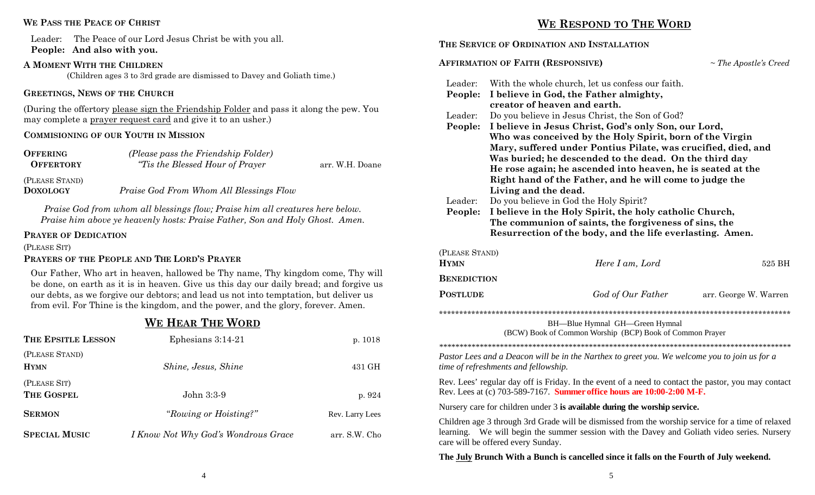#### **WE PASS THE PEACE OF CHRIST**

Leader: The Peace of our Lord Jesus Christ be with you all. **People: And also with you.**

#### **A MOMENT WITH THE CHILDREN**

(Children ages 3 to 3rd grade are dismissed to Davey and Goliath time.)

#### **GREETINGS, NEWS OF THE CHURCH**

(During the offertory please sign the Friendship Folder and pass it along the pew. You may complete a prayer request card and give it to an usher.)

#### **COMMISIONING OF OUR YOUTH IN MISSION**

| <b>OFFERING</b><br><b>OFFERTORY</b> | (Please pass the Friendship Folder)<br><i>"Tis the Blessed Hour of Prayer"</i> | arr. W.H. Doane |
|-------------------------------------|--------------------------------------------------------------------------------|-----------------|
| (PLEASE STAND)<br><b>DOXOLOGY</b>   | Praise God From Whom All Blessings Flow                                        |                 |

*Praise God from whom all blessings flow; Praise him all creatures here below. Praise him above ye heavenly hosts: Praise Father, Son and Holy Ghost. Amen.* 

#### **PRAYER OF DEDICATION**

(PLEASE SIT)

#### **PRAYERS OF THE PEOPLE AND THE LORD'S PRAYER**

Our Father, Who art in heaven, hallowed be Thy name, Thy kingdom come, Thy will be done, on earth as it is in heaven. Give us this day our daily bread; and forgive us our debts, as we forgive our debtors; and lead us not into temptation, but deliver us from evil. For Thine is the kingdom, and the power, and the glory, forever. Amen.

# **WE HEAR THE WORD**

| THE EPSITLE LESSON            | Ephesians $3:14-21$                        | p. 1018         |
|-------------------------------|--------------------------------------------|-----------------|
| (PLEASE STAND)<br><b>HYMN</b> | Shine, Jesus, Shine                        | 431 GH          |
| (PLEASE SIT)                  |                                            |                 |
| THE GOSPEL                    | John 3:3-9                                 | p.924           |
| <b>SERMON</b>                 | "Rowing or Hoisting?"                      | Rev. Larry Lees |
| <b>SPECIAL MUSIC</b>          | <i>I Know Not Why God's Wondrous Grace</i> | arr. S.W. Cho   |

#### **WE RESPOND TO THE WORD**

### **THE SERVICE OF ORDINATION AND INSTALLATION AFFIRMATION OF FAITH (RESPONSIVE)** *~ The Apostle's Creed* Leader: With the whole church, let us confess our faith. **People: I believe in God, the Father almighty, creator of heaven and earth.** Leader: Do you believe in Jesus Christ, the Son of God? **People: I believe in Jesus Christ, God's only Son, our Lord, Who was conceived by the Holy Spirit, born of the Virgin Mary, suffered under Pontius Pilate, was crucified, died, and Was buried; he descended to the dead. On the third day He rose again; he ascended into heaven, he is seated at the Right hand of the Father, and he will come to judge the Living and the dead.**  Leader: Do you believe in God the Holy Spirit? **People: I believe in the Holy Spirit, the holy catholic Church, The communion of saints, the forgiveness of sins, the Resurrection of the body, and the life everlasting. Amen.**  (PLEASE STAND) **HYMN***Here I am, Lord* 525 BH **BENEDICTIONPOSTLUDE** *God of Our Father* arr. George W. Warren \*\*\*\*\*\*\*\*\*\*\*\*\*\*\*\*\*\*\*\*\*\*\*\*\*\*\*\*\*\*\*\*\*\*\*\*\*\*\*\*\*\*\*\*\*\*\*\*\*\*\*\*\*\*\*\*\*\*\*\*\*\*\*\*\*\*\*\*\*\*\*\*\*\*\*\*\*\*\*\*\*\*\*\*\*\*\* BH—Blue Hymnal GH—Green Hymnal (BCW) Book of Common Worship (BCP) Book of Common Prayer *\*\*\*\*\*\*\*\*\*\*\*\*\*\*\*\*\*\*\*\*\*\*\*\*\*\*\*\*\*\*\*\*\*\*\*\*\*\*\*\*\*\*\*\*\*\*\*\*\*\*\*\*\*\*\*\*\*\*\*\*\*\*\*\*\*\*\*\*\*\*\*\*\*\*\*\*\*\*\*\*\*\*\*\*\*\*\* Pastor Lees and a Deacon will be in the Narthex to greet you. We welcome you to join us for a time of refreshments and fellowship.* Rev. Lees' regular day off is Friday. In the event of a need to contact the pastor, you may contact Rev. Lees at (c) 703-589-7167. **Summer office hours are 10:00-2:00 M-F.**  Nursery care for children under 3 **is available during the worship service.**  Children age 3 through 3rd Grade will be dismissed from the worship service for a time of relaxed learning. We will begin the summer session with the Davey and Goliath video series. Nursery care will be offered every Sunday. **The July Brunch With a Bunch is cancelled since it falls on the Fourth of July weekend.**

4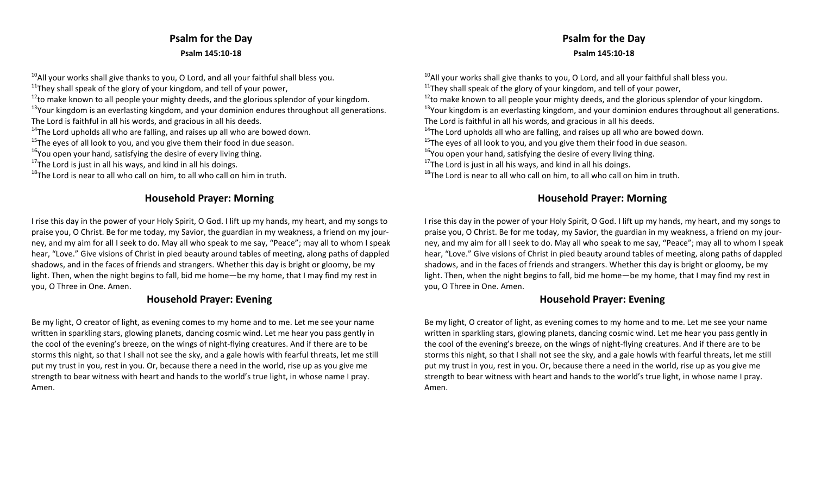# **Psalm for the Day Psalm 145:10‐18**

 $^{10}$ All your works shall give thanks to you, O Lord, and all your faithful shall bless you.

 $11$ <sup>11</sup>They shall speak of the glory of your kingdom, and tell of your power,

 $^{12}$ to make known to all people your mighty deeds, and the glorious splendor of your kingdom.

<sup>13</sup>Your kingdom is an everlasting kingdom, and your dominion endures throughout all generations.

The Lord is faithful in all his words, and gracious in all his deeds.

 $14$ The Lord upholds all who are falling, and raises up all who are bowed down.

 $^{15}$ The eyes of all look to you, and you give them their food in due season.

 $^{16}$ You open your hand, satisfying the desire of every living thing.

<sup>17</sup>The Lord is just in all his ways, and kind in all his doings.

 $^{18}$ The Lord is near to all who call on him, to all who call on him in truth.

### **Household Prayer: Morning**

I rise this day in the power of your Holy Spirit, O God. I lift up my hands, my heart, and my songs to praise you, O Christ. Be for me today, my Savior, the guardian in my weakness, <sup>a</sup> friend on my jour‐ ney, and my aim for all I seek to do. May all who speak to me say, "Peace"; may all to whom I speak hear, "Love." Give visions of Christ in pied beauty around tables of meeting, along paths of dappled shadows, and in the faces of friends and strangers. Whether this day is bright or gloomy, be my light. Then, when the night begins to fall, bid me home—be my home, that I may find my rest in you, O Three in One. Amen.

#### **Household Prayer: Evening**

Be my light, O creator of light, as evening comes to my home and to me. Let me see your name written in sparkling stars, glowing planets, dancing cosmic wind. Let me hear you pass gently in the cool of the evening's breeze, on the wings of night‐flying creatures. And if there are to be storms this night, so that I shall not see the sky, and <sup>a</sup> gale howls with fearful threats, let me still put my trust in you, rest in you. Or, because there <sup>a</sup> need in the world, rise up as you give me strength to bear witness with heart and hands to the world's true light, in whose name I pray. Amen.

# **Psalm for the Day Psalm 145:10‐18**

 $^{10}$ All your works shall give thanks to you, O Lord, and all your faithful shall bless you.  $11$ <sup>11</sup>They shall speak of the glory of your kingdom, and tell of your power,  $^{12}$ to make known to all people your mighty deeds, and the glorious splendor of your kingdom. <sup>13</sup>Your kingdom is an everlasting kingdom, and your dominion endures throughout all generations. The Lord is faithful in all his words, and gracious in all his deeds.  $14$ The Lord upholds all who are falling, and raises up all who are bowed down.  $^{15}$ The eyes of all look to you, and you give them their food in due season.  $^{16}$ You open your hand, satisfying the desire of every living thing. <sup>17</sup>The Lord is just in all his ways, and kind in all his doings.  $^{18}$ The Lord is near to all who call on him, to all who call on him in truth.

# **Household Prayer: Morning**

I rise this day in the power of your Holy Spirit, O God. I lift up my hands, my heart, and my songs to praise you, O Christ. Be for me today, my Savior, the guardian in my weakness, <sup>a</sup> friend on my jour‐ ney, and my aim for all I seek to do. May all who speak to me say, "Peace"; may all to whom I speak hear, "Love." Give visions of Christ in pied beauty around tables of meeting, along paths of dappled shadows, and in the faces of friends and strangers. Whether this day is bright or gloomy, be my light. Then, when the night begins to fall, bid me home—be my home, that I may find my rest in you, O Three in One. Amen.

#### **Household Prayer: Evening**

Be my light, O creator of light, as evening comes to my home and to me. Let me see your name written in sparkling stars, glowing planets, dancing cosmic wind. Let me hear you pass gently in the cool of the evening's breeze, on the wings of night‐flying creatures. And if there are to be storms this night, so that I shall not see the sky, and <sup>a</sup> gale howls with fearful threats, let me still put my trust in you, rest in you. Or, because there <sup>a</sup> need in the world, rise up as you give me strength to bear witness with heart and hands to the world's true light, in whose name I pray. Amen.